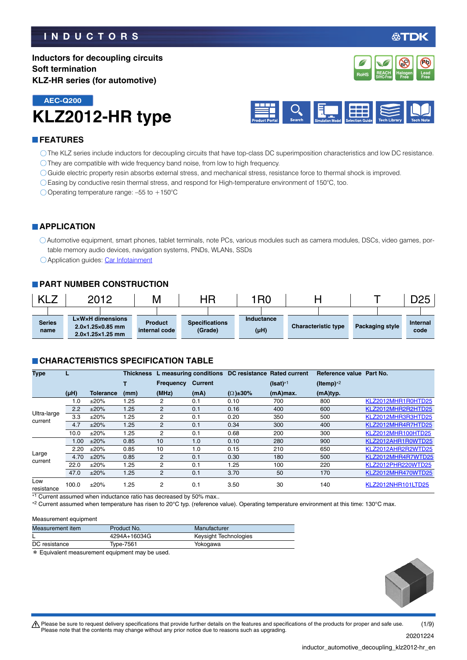### **INDUCTORS**

**Pb**

**REACH** Halogen Lead<br>SVHC-Free Free Free **RoHS** SVHC-Free **Free Free** 

**Halogen Free Br Cl**

**REACH**

**Inductors for decoupling circuits Soft termination KLZ-HR series (for automotive)**





### **FEATURES**

The KLZ series include inductors for decoupling circuits that have top-class DC superimposition characteristics and low DC resistance.

- They are compatible with wide frequency band noise, from low to high frequency.
- Guide electric property resin absorbs external stress, and mechanical stress, resistance force to thermal shock is improved.
- Easing by conductive resin thermal stress, and respond for High-temperature environment of 150°C, too.

 $\bigcirc$  Operating temperature range: -55 to +150°C

#### **APPLICATION**

Automotive equipment, smart phones, tablet terminals, note PCs, various modules such as camera modules, DSCs, video games, portable memory audio devices, navigation systems, PNDs, WLANs, SSDs

○ Application guides: [Car Infotainment](https://product.tdk.com/info/en/applicationguide/car_infotainment/index.html?utm_source=inductor_automotive_decoupling_klz2012-hr_en.pdf&utm_medium=catalog)

### **PART NUMBER CONSTRUCTION**

| IZT.                  | 2012                                                                                                 | Μ                               | ΗR                               | 1 R 0              |                            |                 | D25              |
|-----------------------|------------------------------------------------------------------------------------------------------|---------------------------------|----------------------------------|--------------------|----------------------------|-----------------|------------------|
| <b>Series</b><br>name | $L \times W \times H$ dimensions<br>$2.0\times1.25\times0.85$ mm<br>$2.0 \times 1.25 \times 1.25$ mm | <b>Product</b><br>internal code | <b>Specifications</b><br>(Grade) | Inductance<br>(HH) | <b>Characteristic type</b> | Packaging style | Internal<br>code |

### **CHARACTERISTICS SPECIFICATION TABLE**

| <b>Type</b>            | L         |                  | <b>Thickness</b> |                  | L measuring conditions |                     | DC resistance Rated current | Reference value Part No. |                    |
|------------------------|-----------|------------------|------------------|------------------|------------------------|---------------------|-----------------------------|--------------------------|--------------------|
|                        |           |                  |                  | <b>Frequency</b> | <b>Current</b>         |                     | $(Isat)*1$                  | (Itemp) $*^2$            |                    |
|                        | $(\mu H)$ | <b>Tolerance</b> | (mm)             | (MHz)            | (mA)                   | $(\Omega) \pm 30\%$ | (mA)max.                    | (mA)typ.                 |                    |
|                        | 1.0       | ±20%             | 1.25             | 2                | 0.1                    | 0.10                | 700                         | 800                      | KLZ2012MHR1R0HTD25 |
|                        | 2.2       | ±20%             | 1.25             | $\overline{2}$   | 0.1                    | 0.16                | 400                         | 600                      | KLZ2012MHR2R2HTD25 |
| Ultra-large<br>current | 3.3       | ±20%             | 1.25             | 2                | 0.1                    | 0.20                | 350                         | 500                      | KLZ2012MHR3R3HTD25 |
|                        | 4.7       | ±20%             | 1.25             | 2                | 0.1                    | 0.34                | 300                         | 400                      | KLZ2012MHR4R7HTD25 |
|                        | 10.0      | ±20%             | 1.25             | 2                | 0.1                    | 0.68                | 200                         | 300                      | KLZ2012MHR100HTD25 |
| Large<br>current       | 1.00      | ±20%             | 0.85             | 10               | 1.0                    | 0.10                | 280                         | 900                      | KLZ2012AHR1R0WTD25 |
|                        | 2.20      | ±20%             | 0.85             | 10               | 1.0                    | 0.15                | 210                         | 650                      | KLZ2012AHR2R2WTD25 |
|                        | 4.70      | ±20%             | 0.85             | $\overline{2}$   | 0.1                    | 0.30                | 180                         | 500                      | KLZ2012MHR4R7WTD25 |
|                        | 22.0      | ±20%             | 1.25             | 2                | 0.1                    | 1.25                | 100                         | 220                      | KLZ2012PHR220WTD25 |
|                        | 47.0      | ±20%             | 1.25             | 2                | 0.1                    | 3.70                | 50                          | 170                      | KLZ2012MHR470WTD25 |
| Low<br>resistance      | 100.0     | ±20%             | 1.25             | 2                | 0.1                    | 3.50                | 30                          | 140                      | KLZ2012NHR101LTD25 |

\*1 Current assumed when inductance ratio has decreased by 50% max..

2 Current assumed when temperature has risen to 20°C typ. (reference value). Operating temperature environment at this time: 130°C max.

#### Measurement equipment

| Measurement item                                                               | Product No.  | Manufacturer          |  |  |
|--------------------------------------------------------------------------------|--------------|-----------------------|--|--|
| ┕                                                                              | 4294A+16034G | Keysight Technologies |  |  |
| DC resistance                                                                  | Type-7561    | Yokogawa              |  |  |
| and ■ control book and discovered and a control of countries on the conduct of |              |                       |  |  |

\* Equivalent measurement equipment may be used.



t Please be sure to request delivery specifications that provide further details on the features and specifications of the products for proper and safe use. Please note that the contents may change without any prior notice due to reasons such as upgrading. (1/9)

20201224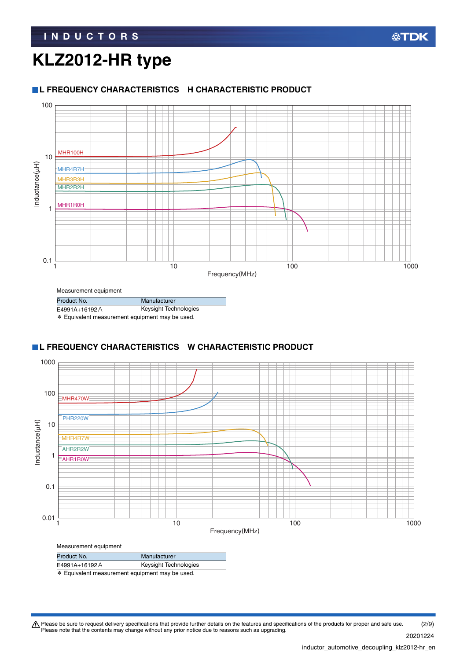### **L FREQUENCY CHARACTERISTICS H CHARACTERISTIC PRODUCT**



Measurement equipment

| Product No.                                     | Manufacturer          |  |
|-------------------------------------------------|-----------------------|--|
| E4991A+16192A                                   | Keysight Technologies |  |
| * Equivalent measurement equipment may be used. |                       |  |

### **L FREQUENCY CHARACTERISTICS W CHARACTERISTIC PRODUCT**



| E4991A+16192A                                        | Keysight Technologies |  |  |
|------------------------------------------------------|-----------------------|--|--|
| $\star$ Equivalent measurement equipment may be used |                       |  |  |

\* Equivalent measurement equipment may be used.

Please be sure to request delivery specifications that provide further details on the features and specifications of the products for proper and safe use.<br>Please note that the contents may change without any prior notice d (2/9)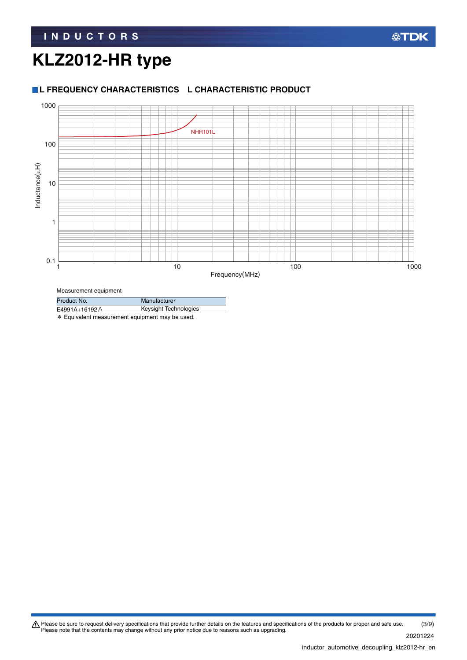### **L FREQUENCY CHARACTERISTICS L CHARACTERISTIC PRODUCT**



Measurement equipment

| Product No.                                          | Manufacturer          |  |  |
|------------------------------------------------------|-----------------------|--|--|
| E4991A+16192A                                        | Keysight Technologies |  |  |
| $\star$ Equivalent measurement equipment may be used |                       |  |  |

\* Equivalent measurement equipment may be used.

Please be sure to request delivery specifications that provide further details on the features and specifications of the products for proper and safe use.<br>Please note that the contents may change without any prior notice d 20201224 (3/9)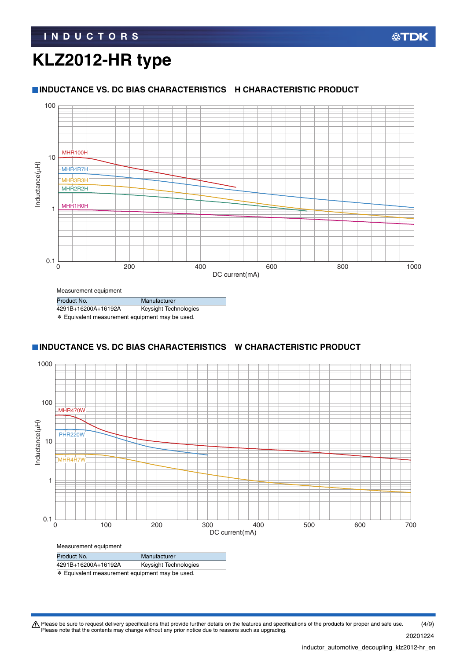### **INDUCTORS**

## **KLZ2012-HR type**

### **INDUCTANCE VS. DC BIAS CHARACTERISTICS H CHARACTERISTIC PRODUCT**



| <u>Measurement</u> equipment                    |                       |  |
|-------------------------------------------------|-----------------------|--|
| Product No.                                     | Manufacturer          |  |
| 4291B+16200A+16192A                             | Keysight Technologies |  |
| * Equivalent measurement equipment may be used. |                       |  |

### **INDUCTANCE VS. DC BIAS CHARACTERISTICS W CHARACTERISTIC PRODUCT**



\* Equivalent measurement equipment may be used.

Please be sure to request delivery specifications that provide further details on the features and specifications of the products for proper and safe use.<br>Please note that the contents may change without any prior notice d (4/9)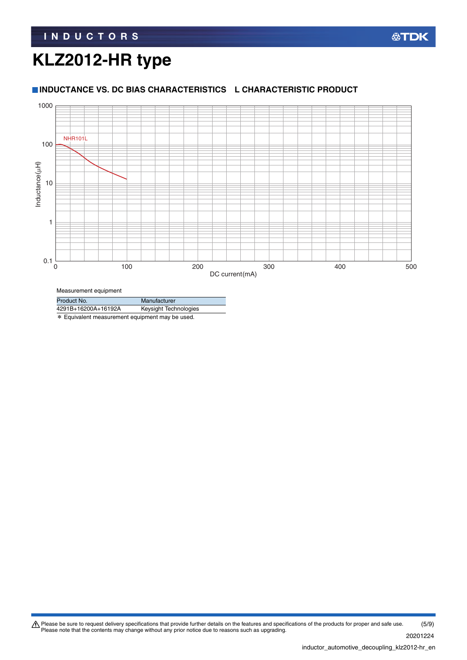### **INDUCTANCE VS. DC BIAS CHARACTERISTICS L CHARACTERISTIC PRODUCT**



Measurement equipment

| Product No.         | Manufacturer          |  |
|---------------------|-----------------------|--|
| 4291B+16200A+16192A | Keysight Technologies |  |
|                     |                       |  |

\* Equivalent measurement equipment may be used.

Please be sure to request delivery specifications that provide further details on the features and specifications of the products for proper and safe use.<br>Please note that the contents may change without any prior notice d 20201224 (5/9)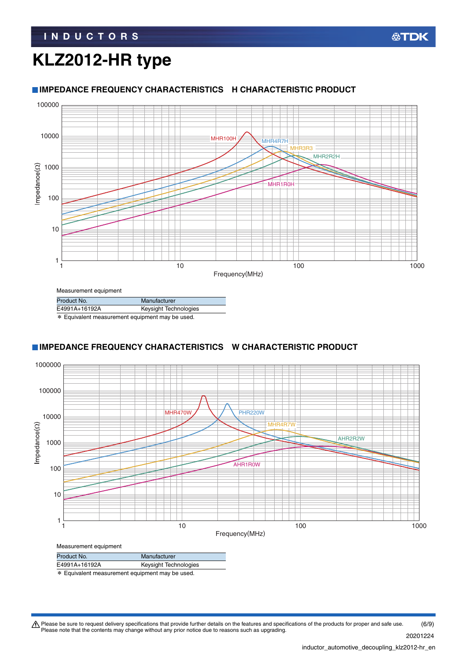### **INDUCTORS**

## **KLZ2012-HR type**



### Measurement equipment

| Product No.                                     | Manufacturer          |  |  |
|-------------------------------------------------|-----------------------|--|--|
| E4991A+16192A                                   | Keysight Technologies |  |  |
| * Equivalent measurement equipment may be used. |                       |  |  |

### **IMPEDANCE FREQUENCY CHARACTERISTICS W CHARACTERISTIC PRODUCT**



\* Equivalent measurement equipment may be used.

Please be sure to request delivery specifications that provide further details on the features and specifications of the products for proper and safe use.<br>Please note that the contents may change without any prior notice d (6/9)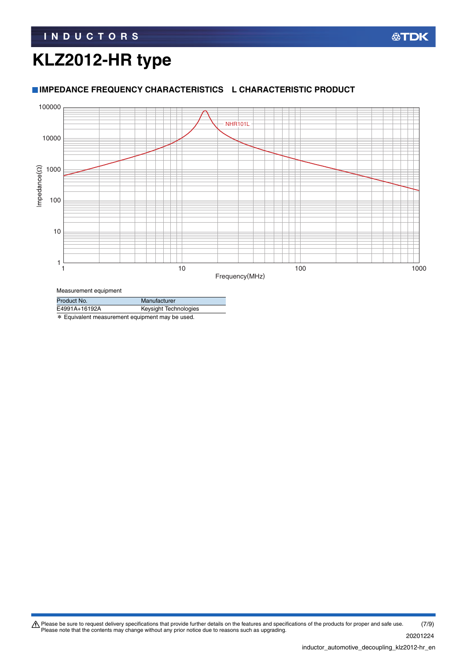### **IMPEDANCE FREQUENCY CHARACTERISTICS L CHARACTERISTIC PRODUCT**



Measurement equipment

| Product No.                                          | Manufacturer          |  |  |
|------------------------------------------------------|-----------------------|--|--|
| E4991A+16192A                                        | Keysight Technologies |  |  |
| $\star$ Equivalent measurement equipment may be used |                       |  |  |

\* Equivalent measurement equipment may be used.

Please be sure to request delivery specifications that provide further details on the features and specifications of the products for proper and safe use.<br>Please note that the contents may change without any prior notice d 20201224 (7/9)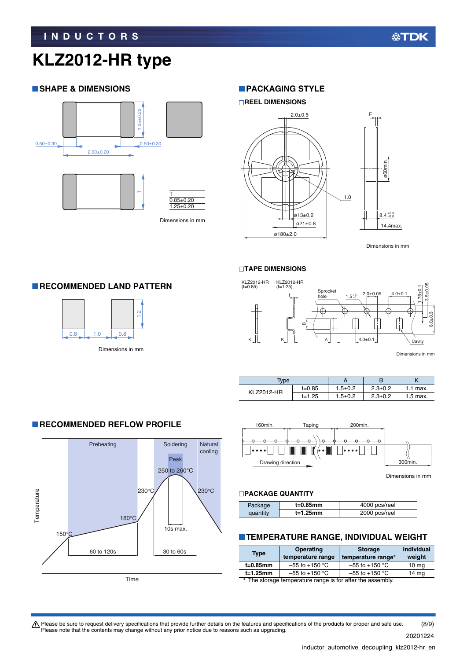### **SHAPE & DIMENSIONS**



Dimensions in mm

### **PACKAGING STYLE**

#### **REEL DIMENSIONS**



Dimensions in mm

#### **TAPE DIMENSIONS**



Dimensions in mm

| <b>Type</b>       |            |             |               |            |
|-------------------|------------|-------------|---------------|------------|
| <b>KLZ2012-HR</b> | t=0.85     | $1.5 + 0.2$ | $2.3 \pm 0.2$ | $1.1$ max. |
|                   | $t = 1.25$ | $1.5 + 0.2$ | $2.3 \pm 0.2$ | $1.5$ max. |



Dimensions in mm

#### **PACKAGE QUANTITY**

| Package  | t=0.85mm    | 4000 pcs/reel |
|----------|-------------|---------------|
| quantity | $t=1.25$ mm | 2000 pcs/reel |

### **TEMPERATURE RANGE, INDIVIDUAL WEIGHT**

| <b>Type</b>                                                | Operating<br>temperature range | <b>Storage</b><br>temperature range* | <b>Individual</b><br>weight |
|------------------------------------------------------------|--------------------------------|--------------------------------------|-----------------------------|
| t=0.85mm                                                   | $-55$ to +150 °C               | $-55$ to $+150$ °C                   | $10 \text{ mg}$             |
| $t=1.25$ mm                                                | $-55$ to +150 °C               | $-55$ to $+150$ °C                   | 14 mg                       |
| * The storage temperature range is for after the assembly. |                                |                                      |                             |

∗ The storage temperature range is for after the assembly.

### **RECOMMENDED LAND PATTERN**



### **RECOMMENDED REFLOW PROFILE**



Please be sure to request delivery specifications that provide further details on the features and specifications of the products for proper and safe use.<br>Please note that the contents may change without any prior notice d (8/9)